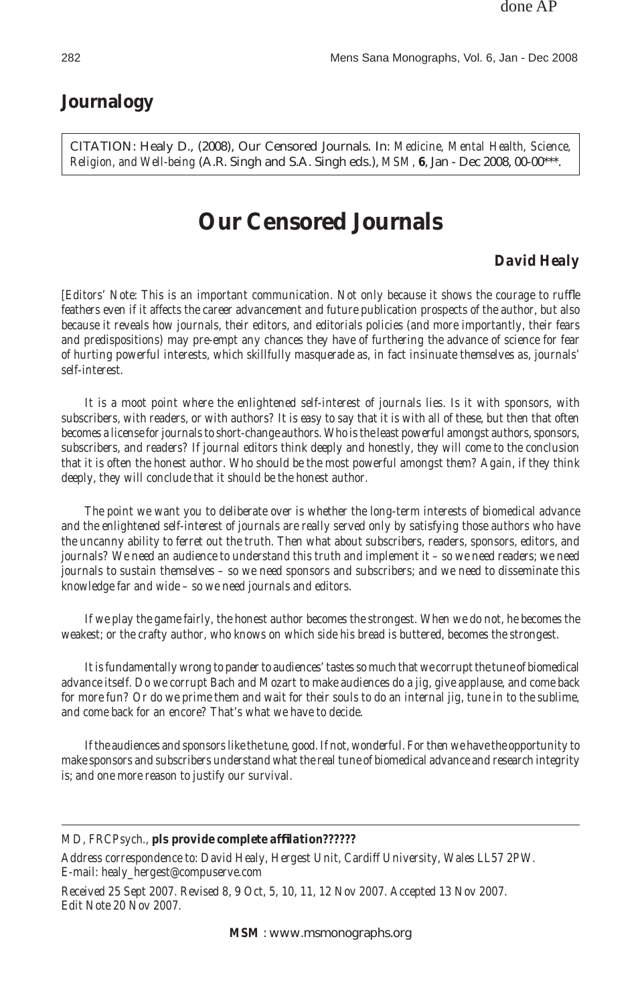### **Journalogy**

CITATION: Healy D., (2008), Our Censored Journals. In: *Medicine, Mental Health, Science, Religion, and Well-being* (A.R. Singh and S.A. Singh eds.), *MSM,* **6**, Jan - Dec 2008, 00-00\*\*\*.

# **Our Censored Journals**

#### *David Healy*

*[Editors' Note: This is an important communication. Not only because it shows the courage to ruffle feathers even if it affects the career advancement and future publication prospects of the author, but also because it reveals how journals, their editors, and editorials policies (and more importantly, their fears and predispositions) may pre-empt any chances they have of furthering the advance of science for fear of hurting powerful interests, which skillfully masquerade as, in fact insinuate themselves as, journals' self-interest.*

*It is a moot point where the enlightened self-interest of journals lies. Is it with sponsors, with subscribers, with readers, or with authors? It is easy to say that it is with all of these, but then that often becomes a license for journals to short-change authors. Who is the least powerful amongst authors, sponsors, subscribers, and readers? If journal editors think deeply and honestly, they will come to the conclusion that it is often the honest author. Who should be the most powerful amongst them? Again, if they think deeply, they will conclude that it should be the honest author.*

*The point we want you to deliberate over is whether the long-term interests of biomedical advance and the enlightened self-interest of journals are really served only by satisfying those authors who have the uncanny ability to ferret out the truth. Then what about subscribers, readers, sponsors, editors, and journals? We need an audience to understand this truth and implement it – so we need readers; we need journals to sustain themselves – so we need sponsors and subscribers; and we need to disseminate this knowledge far and wide – so we need journals and editors.*

*If we play the game fairly, the honest author becomes the strongest. When we do not, he becomes the weakest; or the crafty author, who knows on which side his bread is buttered, becomes the strongest.*

*It is fundamentally wrong to pander to audiences' tastes so much that we corrupt the tune of biomedical advance itself. Do we corrupt Bach and Mozart to make audiences do a jig, give applause, and come back for more fun? Or do we prime them and wait for their souls to do an internal jig, tune in to the sublime, and come back for an encore? That's what we have to decide.*

*If the audiences and sponsors like the tune, good. If not, wonderful. For then we have the opportunity to make sponsors and subscribers understand what the real tune of biomedical advance and research integrity is; and one more reason to justify our survival.*

#### *MD, FRCPsych., pls provide complete affilation??????*

*Address correspondence to: David Healy, Hergest Unit, Cardiff University, Wales LL57 2PW. E-mail: healy\_hergest@compuserve.com*

*Received 25 Sept 2007. Revised 8, 9 Oct, 5, 10, 11, 12 Nov 2007. Accepted 13 Nov 2007. Edit Note 20 Nov 2007.*

*MSM* : www.msmonographs.org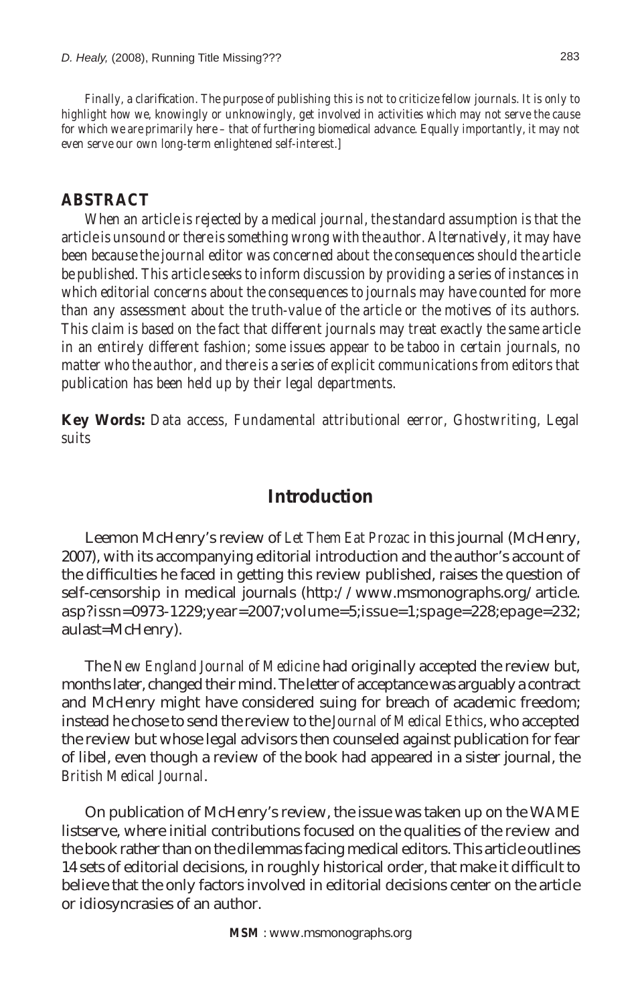*Finally, a clarification. The purpose of publishing this is not to criticize fellow journals. It is only to highlight how we, knowingly or unknowingly, get involved in activities which may not serve the cause for which we are primarily here – that of furthering biomedical advance. Equally importantly, it may not even serve our own long-term enlightened self-interest.]*

#### *ABSTRACT*

*When an article is rejected by a medical journal, the standard assumption is that the article is unsound or there is something wrong with the author. Alternatively, it may have been because the journal editor was concerned about the consequences should the article be published. This article seeks to inform discussion by providing a series of instances in which editorial concerns about the consequences to journals may have counted for more than any assessment about the truth-value of the article or the motives of its authors. This claim is based on the fact that different journals may treat exactly the same article in an entirely different fashion; some issues appear to be taboo in certain journals, no matter who the author, and there is a series of explicit communications from editors that publication has been held up by their legal departments.*

**Key Words:** *Data access, Fundamental attributional eerror, Ghostwriting, Legal suits*

## **Introduction**

Leemon McHenry's review of *Let Them Eat Prozac* in this journal (McHenry, 2007), with its accompanying editorial introduction and the author's account of the difficulties he faced in getting this review published, raises the question of self-censorship in medical journals (http://www.msmonographs.org/article. asp?issn=0973-1229;year=2007;volume=5;issue=1;spage=228;epage=232; aulast=McHenry).

The *New England Journal of Medicine* had originally accepted the review but, months later, changed their mind. The letter of acceptance was arguably a contract and McHenry might have considered suing for breach of academic freedom; instead he chose to send the review to the *Journal of Medical Ethics*, who accepted the review but whose legal advisors then counseled against publication for fear of libel, even though a review of the book had appeared in a sister journal, the *British Medical Journal*.

On publication of McHenry's review, the issue was taken up on the WAME listserve, where initial contributions focused on the qualities of the review and the book rather than on the dilemmas facing medical editors. This article outlines 14 sets of editorial decisions, in roughly historical order, that make it difficult to believe that the only factors involved in editorial decisions center on the article or idiosyncrasies of an author.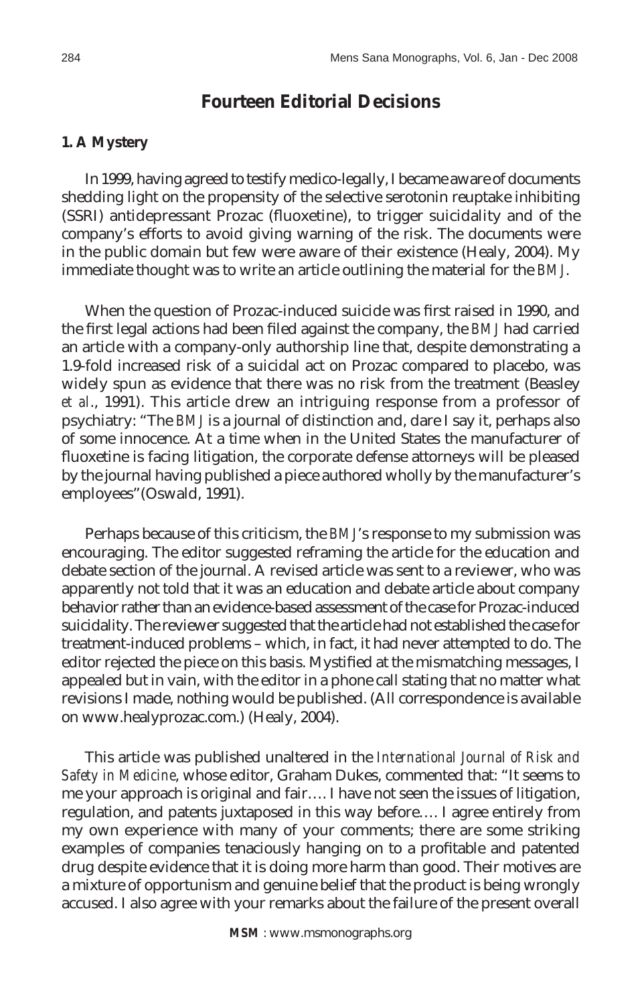### **Fourteen Editorial Decisions**

#### **1. A Mystery**

In 1999, having agreed to testify medico-legally, I became aware of documents shedding light on the propensity of the selective serotonin reuptake inhibiting (SSRI) antidepressant Prozac (fluoxetine), to trigger suicidality and of the company's efforts to avoid giving warning of the risk. The documents were in the public domain but few were aware of their existence (Healy, 2004). My immediate thought was to write an article outlining the material for the *BMJ*.

When the question of Prozac-induced suicide was first raised in 1990, and the first legal actions had been filed against the company, the *BMJ* had carried an article with a company-only authorship line that, despite demonstrating a 1.9-fold increased risk of a suicidal act on Prozac compared to placebo, was widely spun as evidence that there was no risk from the treatment (Beasley *et al*., 1991). This article drew an intriguing response from a professor of psychiatry: "The *BMJ* is a journal of distinction and, dare I say it, perhaps also of some innocence. At a time when in the United States the manufacturer of fluoxetine is facing litigation, the corporate defense attorneys will be pleased by the journal having published a piece authored wholly by the manufacturer's employees"(Oswald, 1991).

Perhaps because of this criticism, the *BMJ*'s response to my submission was encouraging. The editor suggested reframing the article for the education and debate section of the journal. A revised article was sent to a reviewer, who was apparently not told that it was an education and debate article about company behavior rather than an evidence-based assessment of the case for Prozac-induced suicidality. The reviewer suggested that the article had not established the case for treatment-induced problems – which, in fact, it had never attempted to do. The editor rejected the piece on this basis. Mystified at the mismatching messages, I appealed but in vain, with the editor in a phone call stating that no matter what revisions I made, nothing would be published. (All correspondence is available on www.healyprozac.com.) (Healy, 2004).

This article was published unaltered in the *International Journal of Risk and Safety in Medicine*, whose editor, Graham Dukes, commented that: "It seems to me your approach is original and fair…. I have not seen the issues of litigation, regulation, and patents juxtaposed in this way before…. I agree entirely from my own experience with many of your comments; there are some striking examples of companies tenaciously hanging on to a profitable and patented drug despite evidence that it is doing more harm than good. Their motives are a mixture of opportunism and genuine belief that the product is being wrongly accused. I also agree with your remarks about the failure of the present overall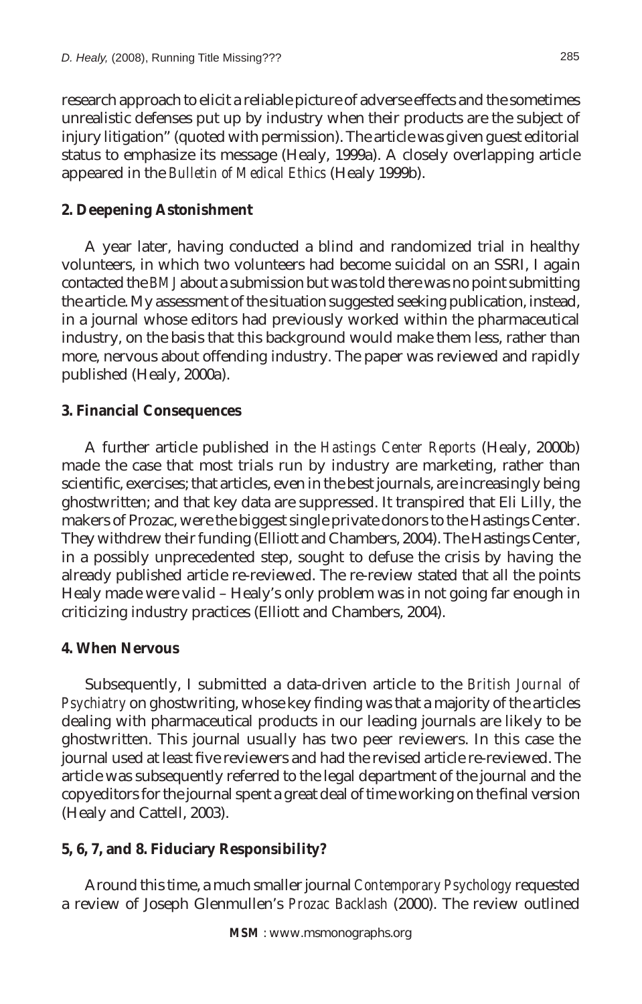research approach to elicit a reliable picture of adverse effects and the sometimes unrealistic defenses put up by industry when their products are the subject of injury litigation" (quoted with permission). The article was given guest editorial status to emphasize its message (Healy, 1999a). A closely overlapping article appeared in the *Bulletin of Medical Ethics* (Healy 1999b).

### **2. Deepening Astonishment**

A year later, having conducted a blind and randomized trial in healthy volunteers, in which two volunteers had become suicidal on an SSRI, I again contacted the *BMJ* about a submission but was told there was no point submitting the article. My assessment of the situation suggested seeking publication, instead, in a journal whose editors had previously worked within the pharmaceutical industry, on the basis that this background would make them less, rather than more, nervous about offending industry. The paper was reviewed and rapidly published (Healy, 2000a).

### **3. Financial Consequences**

A further article published in the *Hastings Center Reports* (Healy, 2000b) made the case that most trials run by industry are marketing, rather than scientific, exercises; that articles, even in the best journals, are increasingly being ghostwritten; and that key data are suppressed. It transpired that Eli Lilly, the makers of Prozac, were the biggest single private donors to the Hastings Center. They withdrew their funding (Elliott and Chambers, 2004). The Hastings Center, in a possibly unprecedented step, sought to defuse the crisis by having the already published article re-reviewed. The re-review stated that all the points Healy made were valid – Healy's only problem was in not going far enough in criticizing industry practices (Elliott and Chambers, 2004).

### **4. When Nervous**

Subsequently, I submitted a data-driven article to the *British Journal of Psychiatry* on ghostwriting, whose key finding was that a majority of the articles dealing with pharmaceutical products in our leading journals are likely to be ghostwritten. This journal usually has two peer reviewers. In this case the journal used at least five reviewers and had the revised article re-reviewed. The article was subsequently referred to the legal department of the journal and the copyeditors for the journal spent a great deal of time working on the final version (Healy and Cattell, 2003).

### **5, 6, 7, and 8. Fiduciary Responsibility?**

Around this time, a much smaller journal *Contemporary Psychology* requested a review of Joseph Glenmullen's *Prozac Backlash* (2000). The review outlined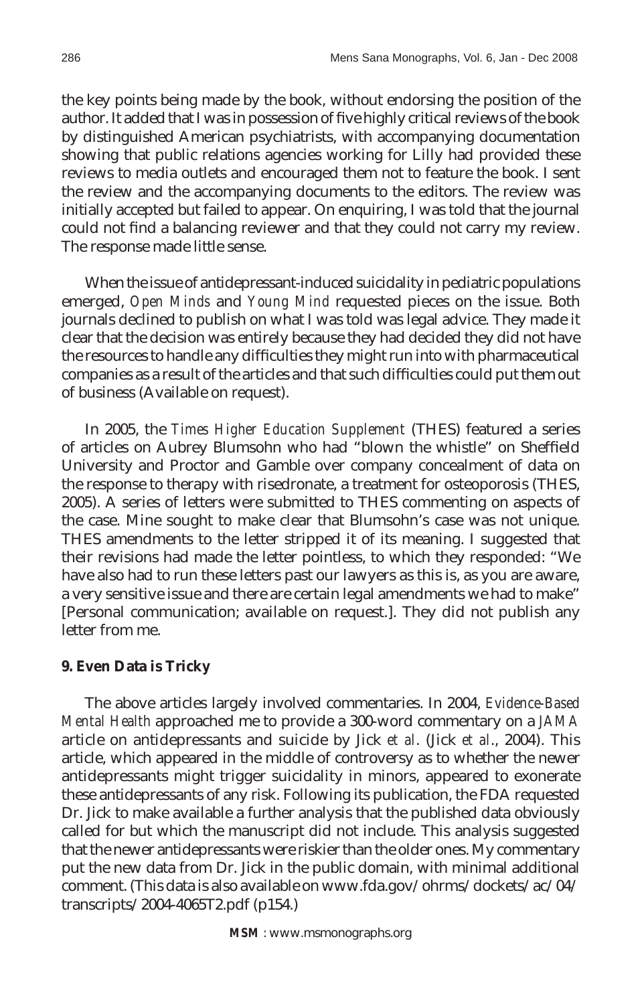the key points being made by the book, without endorsing the position of the author. It added that I was in possession of five highly critical reviews of the book by distinguished American psychiatrists, with accompanying documentation showing that public relations agencies working for Lilly had provided these reviews to media outlets and encouraged them not to feature the book. I sent the review and the accompanying documents to the editors. The review was initially accepted but failed to appear. On enquiring, I was told that the journal could not find a balancing reviewer and that they could not carry my review. The response made little sense.

When the issue of antidepressant-induced suicidality in pediatric populations emerged, *Open Minds* and *Young Mind* requested pieces on the issue. Both journals declined to publish on what I was told was legal advice. They made it clear that the decision was entirely because they had decided they did not have the resources to handle any difficulties they might run into with pharmaceutical companies as a result of the articles and that such difficulties could put them out of business (Available on request).

In 2005, the *Times Higher Education Supplement* (THES) featured a series of articles on Aubrey Blumsohn who had "blown the whistle" on Sheffield University and Proctor and Gamble over company concealment of data on the response to therapy with risedronate, a treatment for osteoporosis (THES, 2005). A series of letters were submitted to THES commenting on aspects of the case. Mine sought to make clear that Blumsohn's case was not unique. THES amendments to the letter stripped it of its meaning. I suggested that their revisions had made the letter pointless, to which they responded: "We have also had to run these letters past our lawyers as this is, as you are aware, a very sensitive issue and there are certain legal amendments we had to make" [Personal communication; available on request.]. They did not publish any letter from me.

#### **9. Even Data is Tricky**

The above articles largely involved commentaries. In 2004, *Evidence-Based Mental Health* approached me to provide a 300-word commentary on a *JAMA* article on antidepressants and suicide by Jick *et al*. (Jick *et al*., 2004). This article, which appeared in the middle of controversy as to whether the newer antidepressants might trigger suicidality in minors, appeared to exonerate these antidepressants of any risk. Following its publication, the FDA requested Dr. Jick to make available a further analysis that the published data obviously called for but which the manuscript did not include. This analysis suggested that the newer antidepressants were riskier than the older ones. My commentary put the new data from Dr. Jick in the public domain, with minimal additional comment. (This data is also available on www.fda.gov/ohrms/dockets/ac/04/ transcripts/2004-4065T2.pdf (p154.)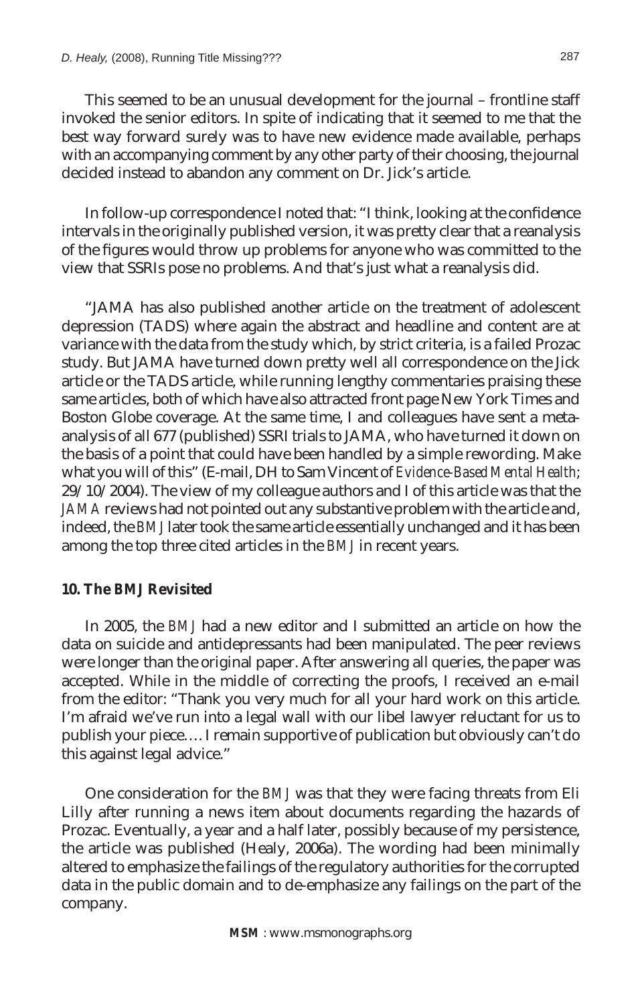This seemed to be an unusual development for the journal – frontline staff invoked the senior editors. In spite of indicating that it seemed to me that the best way forward surely was to have new evidence made available, perhaps with an accompanying comment by any other party of their choosing, the journal decided instead to abandon any comment on Dr. Jick's article.

In follow-up correspondence I noted that: "I think, looking at the confidence intervals in the originally published version, it was pretty clear that a reanalysis of the figures would throw up problems for anyone who was committed to the view that SSRIs pose no problems. And that's just what a reanalysis did.

"JAMA has also published another article on the treatment of adolescent depression (TADS) where again the abstract and headline and content are at variance with the data from the study which, by strict criteria, is a failed Prozac study. But JAMA have turned down pretty well all correspondence on the Jick article or the TADS article, while running lengthy commentaries praising these same articles, both of which have also attracted front page New York Times and Boston Globe coverage. At the same time, I and colleagues have sent a metaanalysis of all 677 (published) SSRI trials to JAMA, who have turned it down on the basis of a point that could have been handled by a simple rewording. Make what you will of this" (E-mail, DH to Sam Vincent of *Evidence-Based Mental Health*; 29/10/2004). The view of my colleague authors and I of this article was that the *JAMA* reviews had not pointed out any substantive problem with the article and, indeed, the *BMJ* later took the same article essentially unchanged and it has been among the top three cited articles in the *BMJ* in recent years.

#### **10. The** *BMJ* **Revisited**

In 2005, the *BMJ* had a new editor and I submitted an article on how the data on suicide and antidepressants had been manipulated. The peer reviews were longer than the original paper. After answering all queries, the paper was accepted. While in the middle of correcting the proofs, I received an e-mail from the editor: "Thank you very much for all your hard work on this article. I'm afraid we've run into a legal wall with our libel lawyer reluctant for us to publish your piece…. I remain supportive of publication but obviously can't do this against legal advice."

One consideration for the *BMJ* was that they were facing threats from Eli Lilly after running a news item about documents regarding the hazards of Prozac. Eventually, a year and a half later, possibly because of my persistence, the article was published (Healy, 2006a). The wording had been minimally altered to emphasize the failings of the regulatory authorities for the corrupted data in the public domain and to de-emphasize any failings on the part of the company.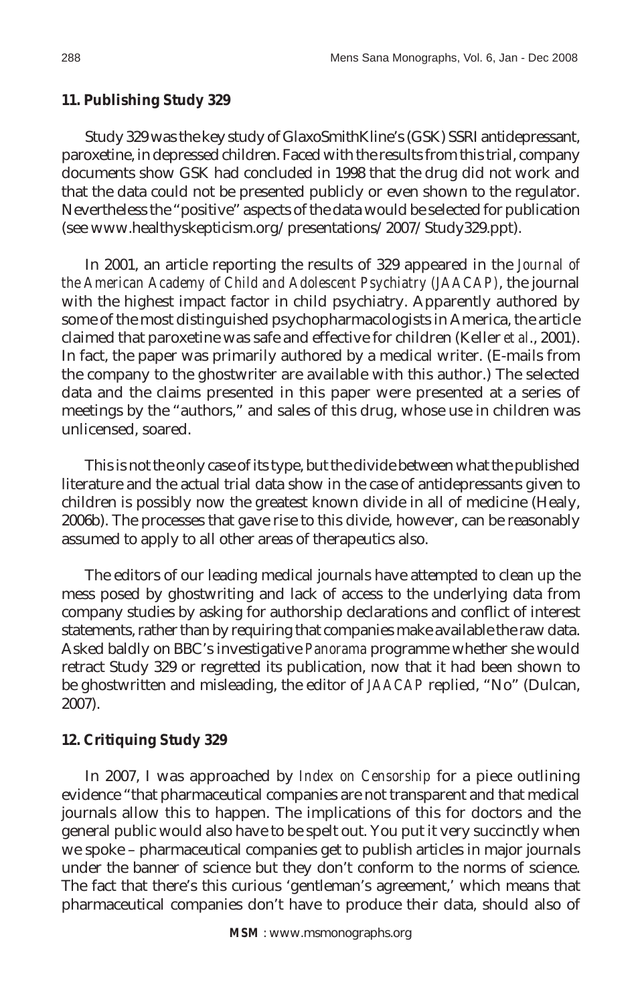#### **11. Publishing Study 329**

Study 329 was the key study of GlaxoSmithKline's (GSK) SSRI antidepressant, paroxetine, in depressed children. Faced with the results from this trial, company documents show GSK had concluded in 1998 that the drug did not work and that the data could not be presented publicly or even shown to the regulator. Nevertheless the "positive" aspects of the data would be selected for publication (see www.healthyskepticism.org/presentations/2007/Study329.ppt).

In 2001, an article reporting the results of 329 appeared in the *Journal of the American Academy of Child and Adolescent Psychiatry (JAACAP)*, the journal with the highest impact factor in child psychiatry. Apparently authored by some of the most distinguished psychopharmacologists in America, the article claimed that paroxetine was safe and effective for children (Keller *et al*., 2001). In fact, the paper was primarily authored by a medical writer. (E-mails from the company to the ghostwriter are available with this author.) The selected data and the claims presented in this paper were presented at a series of meetings by the "authors," and sales of this drug, whose use in children was unlicensed, soared.

This is not the only case of its type, but the divide between what the published literature and the actual trial data show in the case of antidepressants given to children is possibly now the greatest known divide in all of medicine (Healy, 2006b). The processes that gave rise to this divide, however, can be reasonably assumed to apply to all other areas of therapeutics also.

The editors of our leading medical journals have attempted to clean up the mess posed by ghostwriting and lack of access to the underlying data from company studies by asking for authorship declarations and conflict of interest statements, rather than by requiring that companies make available the raw data. Asked baldly on BBC's investigative *Panorama* programme whether she would retract Study 329 or regretted its publication, now that it had been shown to be ghostwritten and misleading, the editor of *JAACAP* replied, "No" (Dulcan, 2007).

#### **12. Critiquing Study 329**

In 2007, I was approached by *Index on Censorship* for a piece outlining evidence "that pharmaceutical companies are not transparent and that medical journals allow this to happen. The implications of this for doctors and the general public would also have to be spelt out. You put it very succinctly when we spoke – pharmaceutical companies get to publish articles in major journals under the banner of science but they don't conform to the norms of science. The fact that there's this curious 'gentleman's agreement,' which means that pharmaceutical companies don't have to produce their data, should also of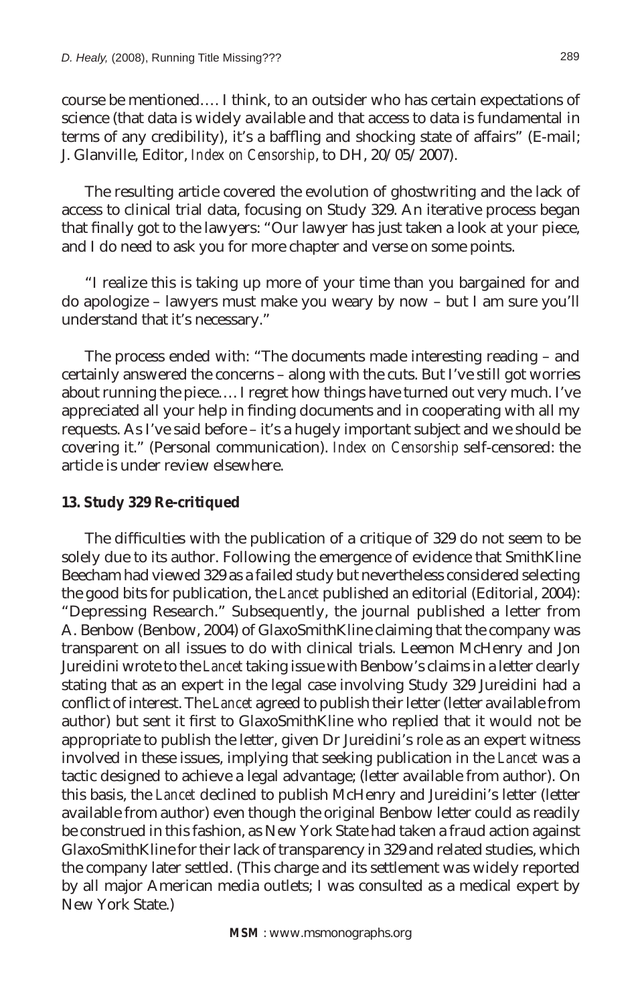course be mentioned…. I think, to an outsider who has certain expectations of science (that data is widely available and that access to data is fundamental in terms of any credibility), it's a baffling and shocking state of affairs" (E-mail; J. Glanville, Editor, *Index on Censorship*, to DH, 20/05/2007).

The resulting article covered the evolution of ghostwriting and the lack of access to clinical trial data, focusing on Study 329. An iterative process began that finally got to the lawyers: "Our lawyer has just taken a look at your piece, and I do need to ask you for more chapter and verse on some points.

"I realize this is taking up more of your time than you bargained for and do apologize – lawyers must make you weary by now – but I am sure you'll understand that it's necessary."

The process ended with: "The documents made interesting reading – and certainly answered the concerns – along with the cuts. But I've still got worries about running the piece…. I regret how things have turned out very much. I've appreciated all your help in finding documents and in cooperating with all my requests. As I've said before – it's a hugely important subject and we should be covering it." (Personal communication). *Index on Censorship* self-censored: the article is under review elsewhere.

#### **13. Study 329 Re-critiqued**

The difficulties with the publication of a critique of 329 do not seem to be solely due to its author. Following the emergence of evidence that SmithKline Beecham had viewed 329 as a failed study but nevertheless considered selecting the good bits for publication, the *Lancet* published an editorial (Editorial, 2004): "Depressing Research." Subsequently, the journal published a letter from A. Benbow (Benbow, 2004) of GlaxoSmithKline claiming that the company was transparent on all issues to do with clinical trials. Leemon McHenry and Jon Jureidini wrote to the *Lancet* taking issue with Benbow's claims in a letter clearly stating that as an expert in the legal case involving Study 329 Jureidini had a conflict of interest. The *Lancet* agreed to publish their letter (letter available from author) but sent it first to GlaxoSmithKline who replied that it would not be appropriate to publish the letter, given Dr Jureidini's role as an expert witness involved in these issues, implying that seeking publication in the *Lancet* was a tactic designed to achieve a legal advantage; (letter available from author). On this basis, the *Lancet* declined to publish McHenry and Jureidini's letter (letter available from author) even though the original Benbow letter could as readily be construed in this fashion, as New York State had taken a fraud action against GlaxoSmithKline for their lack of transparency in 329 and related studies, which the company later settled. (This charge and its settlement was widely reported by all major American media outlets; I was consulted as a medical expert by New York State.)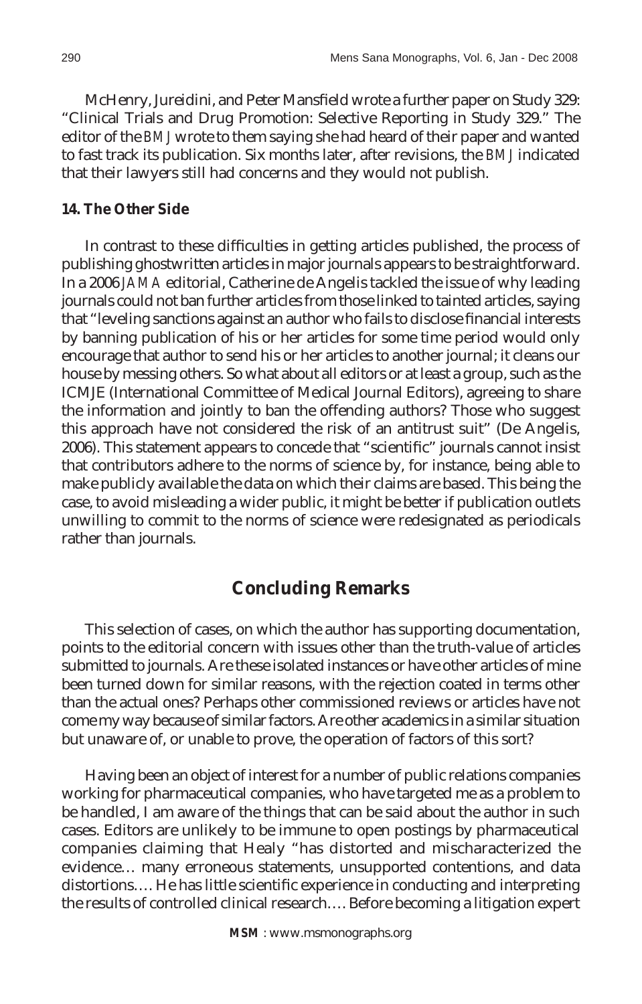McHenry, Jureidini, and Peter Mansfield wrote a further paper on Study 329: "Clinical Trials and Drug Promotion: Selective Reporting in Study 329." The editor of the *BMJ* wrote to them saying she had heard of their paper and wanted to fast track its publication. Six months later, after revisions, the *BMJ* indicated that their lawyers still had concerns and they would not publish.

#### **14. The Other Side**

In contrast to these difficulties in getting articles published, the process of publishing ghostwritten articles in major journals appears to be straightforward. In a 2006 *JAMA* editorial, Catherine de Angelis tackled the issue of why leading journals could not ban further articles from those linked to tainted articles, saying that "leveling sanctions against an author who fails to disclose financial interests by banning publication of his or her articles for some time period would only encourage that author to send his or her articles to another journal; it cleans our house by messing others. So what about all editors or at least a group, such as the ICMJE (International Committee of Medical Journal Editors), agreeing to share the information and jointly to ban the offending authors? Those who suggest this approach have not considered the risk of an antitrust suit" (De Angelis, 2006). This statement appears to concede that "scientific" journals cannot insist that contributors adhere to the norms of science by, for instance, being able to make publicly available the data on which their claims are based. This being the case, to avoid misleading a wider public, it might be better if publication outlets unwilling to commit to the norms of science were redesignated as periodicals rather than journals.

### **Concluding Remarks**

This selection of cases, on which the author has supporting documentation, points to the editorial concern with issues other than the truth-value of articles submitted to journals. Are these isolated instances or have other articles of mine been turned down for similar reasons, with the rejection coated in terms other than the actual ones? Perhaps other commissioned reviews or articles have not come my way because of similar factors. Are other academics in a similar situation but unaware of, or unable to prove, the operation of factors of this sort?

Having been an object of interest for a number of public relations companies working for pharmaceutical companies, who have targeted me as a problem to be handled, I am aware of the things that can be said about the author in such cases. Editors are unlikely to be immune to open postings by pharmaceutical companies claiming that Healy "has distorted and mischaracterized the evidence… many erroneous statements, unsupported contentions, and data distortions.... He has little scientific experience in conducting and interpreting the results of controlled clinical research…. Before becoming a litigation expert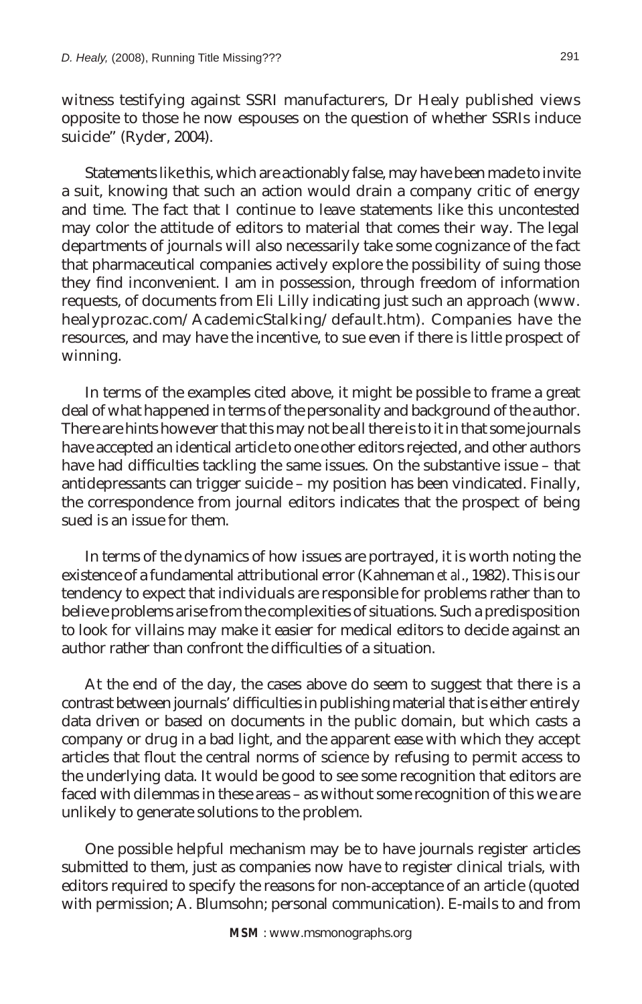witness testifying against SSRI manufacturers, Dr Healy published views opposite to those he now espouses on the question of whether SSRIs induce suicide" (Ryder, 2004).

Statements like this, which are actionably false, may have been made to invite a suit, knowing that such an action would drain a company critic of energy and time. The fact that I continue to leave statements like this uncontested may color the attitude of editors to material that comes their way. The legal departments of journals will also necessarily take some cognizance of the fact that pharmaceutical companies actively explore the possibility of suing those they find inconvenient. I am in possession, through freedom of information requests, of documents from Eli Lilly indicating just such an approach (www. healyprozac.com/AcademicStalking/default.htm). Companies have the resources, and may have the incentive, to sue even if there is little prospect of winning.

In terms of the examples cited above, it might be possible to frame a great deal of what happened in terms of the personality and background of the author. There are hints however that this may not be all there is to it in that some journals have accepted an identical article to one other editors rejected, and other authors have had difficulties tackling the same issues. On the substantive issue – that antidepressants can trigger suicide – my position has been vindicated. Finally, the correspondence from journal editors indicates that the prospect of being sued is an issue for them.

In terms of the dynamics of how issues are portrayed, it is worth noting the existence of a fundamental attributional error (Kahneman *et al*., 1982). This is our tendency to expect that individuals are responsible for problems rather than to believe problems arise from the complexities of situations. Such a predisposition to look for villains may make it easier for medical editors to decide against an author rather than confront the difficulties of a situation.

At the end of the day, the cases above do seem to suggest that there is a contrast between journals' difficulties in publishing material that is either entirely data driven or based on documents in the public domain, but which casts a company or drug in a bad light, and the apparent ease with which they accept articles that flout the central norms of science by refusing to permit access to the underlying data. It would be good to see some recognition that editors are faced with dilemmas in these areas – as without some recognition of this we are unlikely to generate solutions to the problem.

One possible helpful mechanism may be to have journals register articles submitted to them, just as companies now have to register clinical trials, with editors required to specify the reasons for non-acceptance of an article (quoted with permission; A. Blumsohn; personal communication). E-mails to and from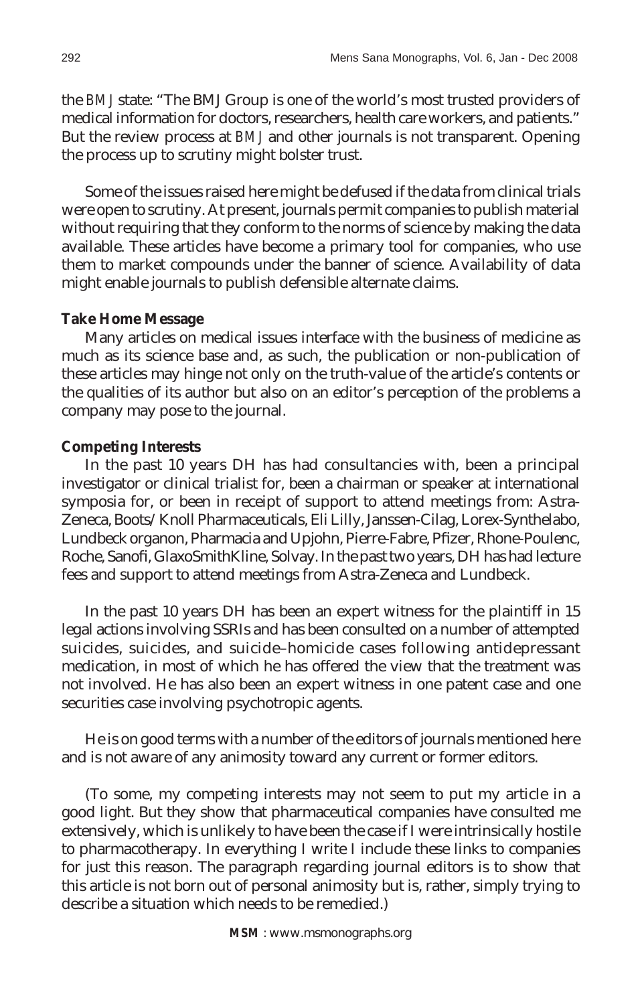the *BMJ* state: "The BMJ Group is one of the world's most trusted providers of medical information for doctors, researchers, health care workers, and patients." But the review process at *BMJ* and other journals is not transparent. Opening the process up to scrutiny might bolster trust.

Some of the issues raised here might be defused if the data from clinical trials were open to scrutiny. At present, journals permit companies to publish material without requiring that they conform to the norms of science by making the data available. These articles have become a primary tool for companies, who use them to market compounds under the banner of science. Availability of data might enable journals to publish defensible alternate claims.

#### **Take Home Message**

Many articles on medical issues interface with the business of medicine as much as its science base and, as such, the publication or non-publication of these articles may hinge not only on the truth-value of the article's contents or the qualities of its author but also on an editor's perception of the problems a company may pose to the journal.

#### **Competing Interests**

In the past 10 years DH has had consultancies with, been a principal investigator or clinical trialist for, been a chairman or speaker at international symposia for, or been in receipt of support to attend meetings from: Astra-Zeneca, Boots/Knoll Pharmaceuticals, Eli Lilly, Janssen-Cilag, Lorex-Synthelabo, Lundbeck organon, Pharmacia and Upjohn, Pierre-Fabre, Pfizer, Rhone-Poulenc, Roche, Sanofi, GlaxoSmithKline, Solvay. In the past two years, DH has had lecture fees and support to attend meetings from Astra-Zeneca and Lundbeck.

In the past 10 years DH has been an expert witness for the plaintiff in 15 legal actions involving SSRIs and has been consulted on a number of attempted suicides, suicides, and suicide–homicide cases following antidepressant medication, in most of which he has offered the view that the treatment was not involved. He has also been an expert witness in one patent case and one securities case involving psychotropic agents.

He is on good terms with a number of the editors of journals mentioned here and is not aware of any animosity toward any current or former editors.

(To some, my competing interests may not seem to put my article in a good light. But they show that pharmaceutical companies have consulted me extensively, which is unlikely to have been the case if I were intrinsically hostile to pharmacotherapy. In everything I write I include these links to companies for just this reason. The paragraph regarding journal editors is to show that this article is not born out of personal animosity but is, rather, simply trying to describe a situation which needs to be remedied.)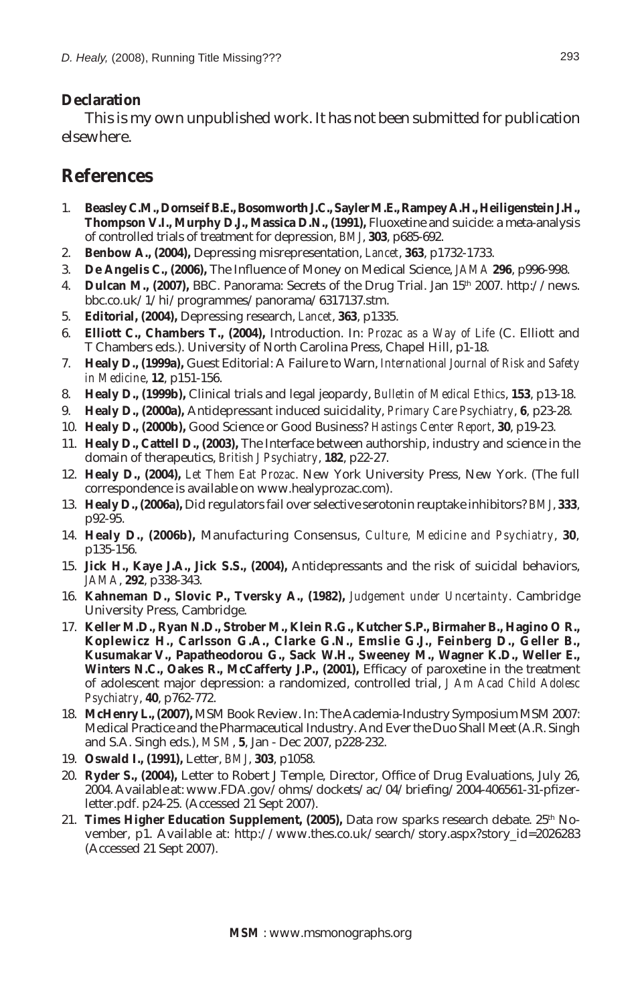### **Declaration**

This is my own unpublished work. It has not been submitted for publication elsewhere.

# **References**

- 1. **Beasley C.M., Dornseif B.E., Bosomworth J.C., Sayler M.E., Rampey A.H., Heiligenstein J.H., Thompson V.I., Murphy D.J., Massica D.N., (1991),** Fluoxetine and suicide: a meta-analysis of controlled trials of treatment for depression, *BMJ*, **303**, p685-692.
- 2. **Benbow A., (2004),** Depressing misrepresentation, *Lancet*, **363**, p1732-1733.
- 3. **De Angelis C., (2006),** The Influence of Money on Medical Science, *JAMA* **296**, p996-998.
- 4. **Dulcan M., (2007),** BBC. Panorama: Secrets of the Drug Trial. Jan 15th 2007. http://news. bbc.co.uk/1/hi/programmes/panorama/6317137.stm.
- 5. **Editorial, (2004),** Depressing research, *Lancet*, **363**, p1335.
- 6. **Elliott C., Chambers T., (2004),** Introduction. In: *Prozac as a Way of Life* (C. Elliott and T Chambers eds.). University of North Carolina Press, Chapel Hill, p1-18.
- 7. **Healy D., (1999a),** Guest Editorial: A Failure to Warn, *International Journal of Risk and Safety in Medicine*, **12**, p151-156.
- 8. **Healy D., (1999b),** Clinical trials and legal jeopardy, *Bulletin of Medical Ethics*, **153**, p13-18.
- 9. **Healy D., (2000a),** Antidepressant induced suicidality, *Primary Care Psychiatry*, **6**, p23-28.
- 10. **Healy D., (2000b),** Good Science or Good Business? *Hastings Center Report*, **30**, p19-23.
- 11. **Healy D., Cattell D., (2003),** The Interface between authorship, industry and science in the domain of therapeutics, *British J Psychiatry*, **182**, p22-27.
- 12. **Healy D., (2004),** *Let Them Eat Prozac*. New York University Press, New York. (The full correspondence is available on www.healyprozac.com).
- 13. **Healy D., (2006a),** Did regulators fail over selective serotonin reuptake inhibitors? *BMJ*, **333**, p92-95.
- 14. **Healy D., (2006b),** Manufacturing Consensus, *Culture, Medicine and Psychiatry*, **30**, p135-156.
- 15. **Jick H., Kaye J.A., Jick S.S., (2004),** Antidepressants and the risk of suicidal behaviors, *JAMA*, **292**, p338-343.
- 16. **Kahneman D., Slovic P., Tversky A., (1982),** *Judgement under Uncertainty*. Cambridge University Press, Cambridge.
- 17. **Keller M.D., Ryan N.D., Strober M., Klein R.G., Kutcher S.P., Birmaher B., Hagino O R., Koplewicz H., Carlsson G.A., Clarke G.N., Emslie G.J., Feinberg D., Geller B., Kusumakar V., Papatheodorou G., Sack W.H., Sweeney M., Wagner K.D., Weller E.,**  Winters N.C., Oakes R., McCafferty J.P., (2001), Efficacy of paroxetine in the treatment of adolescent major depression: a randomized, controlled trial, *J Am Acad Child Adolesc Psychiatry*, **40**, p762-772.
- 18. **McHenry L., (2007),** MSM Book Review. In: The Academia-Industry Symposium MSM 2007: Medical Practice and the Pharmaceutical Industry. And Ever the Duo Shall Meet (A.R. Singh and S.A. Singh eds.), *MSM*, **5**, Jan - Dec 2007, p228-232.
- 19. **Oswald I., (1991),** Letter, *BMJ*, **303**, p1058.
- 20. Ryder S., (2004), Letter to Robert J Temple, Director, Office of Drug Evaluations, July 26, 2004. Available at: www.FDA.gov/ohms/dockets/ac/04/briefing/2004-406561-31-pfizerletter.pdf. p24-25. (Accessed 21 Sept 2007).
- 21. Times Higher Education Supplement, (2005), Data row sparks research debate. 25<sup>th</sup> November, p1. Available at: http://www.thes.co.uk/search/story.aspx?story\_id=2026283 (Accessed 21 Sept 2007).